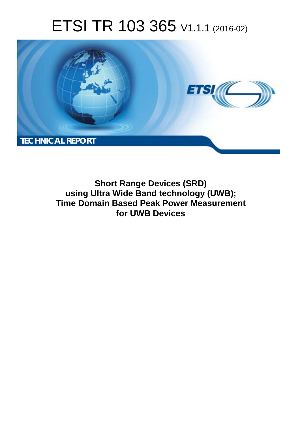# ETSI TR 103 365 V1.1.1 (2016-02)



**Short Range Devices (SRD) using Ultra Wide Band technology (UWB); Time Domain Based Peak Power Measurement for UWB Devices**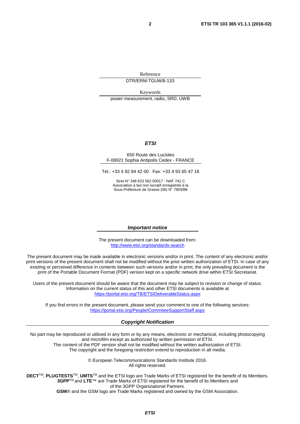Reference DTR/ERM-TGUWB-133

Keywords power measurement, radio, SRD, UWB

#### *ETSI*

#### 650 Route des Lucioles F-06921 Sophia Antipolis Cedex - FRANCE

Tel.: +33 4 92 94 42 00 Fax: +33 4 93 65 47 16

Siret N° 348 623 562 00017 - NAF 742 C Association à but non lucratif enregistrée à la Sous-Préfecture de Grasse (06) N° 7803/88

#### *Important notice*

The present document can be downloaded from: <http://www.etsi.org/standards-search>

The present document may be made available in electronic versions and/or in print. The content of any electronic and/or print versions of the present document shall not be modified without the prior written authorization of ETSI. In case of any existing or perceived difference in contents between such versions and/or in print, the only prevailing document is the print of the Portable Document Format (PDF) version kept on a specific network drive within ETSI Secretariat.

Users of the present document should be aware that the document may be subject to revision or change of status. Information on the current status of this and other ETSI documents is available at <https://portal.etsi.org/TB/ETSIDeliverableStatus.aspx>

If you find errors in the present document, please send your comment to one of the following services: <https://portal.etsi.org/People/CommiteeSupportStaff.aspx>

#### *Copyright Notification*

No part may be reproduced or utilized in any form or by any means, electronic or mechanical, including photocopying and microfilm except as authorized by written permission of ETSI.

The content of the PDF version shall not be modified without the written authorization of ETSI. The copyright and the foregoing restriction extend to reproduction in all media.

> © European Telecommunications Standards Institute 2016. All rights reserved.

**DECT**TM, **PLUGTESTS**TM, **UMTS**TM and the ETSI logo are Trade Marks of ETSI registered for the benefit of its Members. **3GPP**TM and **LTE**™ are Trade Marks of ETSI registered for the benefit of its Members and of the 3GPP Organizational Partners.

**GSM**® and the GSM logo are Trade Marks registered and owned by the GSM Association.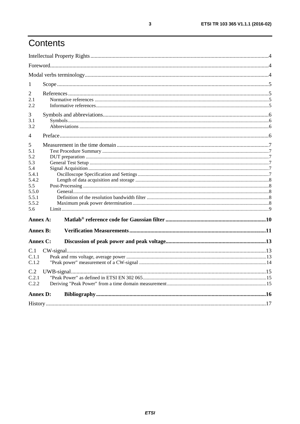# Contents

| 1                                                       |  |  |  |  |
|---------------------------------------------------------|--|--|--|--|
| 2<br>2.1<br>2.2                                         |  |  |  |  |
| 3<br>3.1<br>3.2                                         |  |  |  |  |
| 4                                                       |  |  |  |  |
| 5<br>5.1<br>5.2<br>5.3<br>5.4                           |  |  |  |  |
| 5.4.1<br>5.4.2<br>5.5<br>5.5.0<br>5.5.1<br>5.5.2<br>5.6 |  |  |  |  |
| Annex A:                                                |  |  |  |  |
| <b>Annex B:</b>                                         |  |  |  |  |
| Annex C:                                                |  |  |  |  |
| C.1<br>C.1.1<br>C.1.2                                   |  |  |  |  |
| C.2<br>C.2.1<br>C.2.2                                   |  |  |  |  |
| <b>Annex D:</b>                                         |  |  |  |  |
|                                                         |  |  |  |  |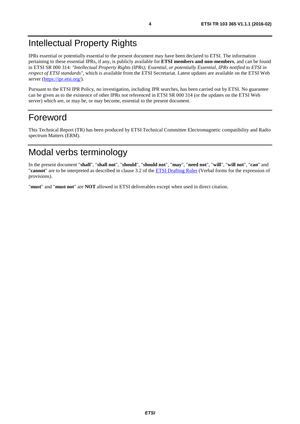## <span id="page-3-0"></span>Intellectual Property Rights

IPRs essential or potentially essential to the present document may have been declared to ETSI. The information pertaining to these essential IPRs, if any, is publicly available for **ETSI members and non-members**, and can be found in ETSI SR 000 314: *"Intellectual Property Rights (IPRs); Essential, or potentially Essential, IPRs notified to ETSI in respect of ETSI standards"*, which is available from the ETSI Secretariat. Latest updates are available on the ETSI Web server (<https://ipr.etsi.org/>).

Pursuant to the ETSI IPR Policy, no investigation, including IPR searches, has been carried out by ETSI. No guarantee can be given as to the existence of other IPRs not referenced in ETSI SR 000 314 (or the updates on the ETSI Web server) which are, or may be, or may become, essential to the present document.

### Foreword

This Technical Report (TR) has been produced by ETSI Technical Committee Electromagnetic compatibility and Radio spectrum Matters (ERM).

# Modal verbs terminology

In the present document "**shall**", "**shall not**", "**should**", "**should not**", "**may**", "**need not**", "**will**", "**will not**", "**can**" and "**cannot**" are to be interpreted as described in clause 3.2 of the [ETSI Drafting Rules](https://portal.etsi.org/Services/editHelp!/Howtostart/ETSIDraftingRules.aspx) (Verbal forms for the expression of provisions).

"**must**" and "**must not**" are **NOT** allowed in ETSI deliverables except when used in direct citation.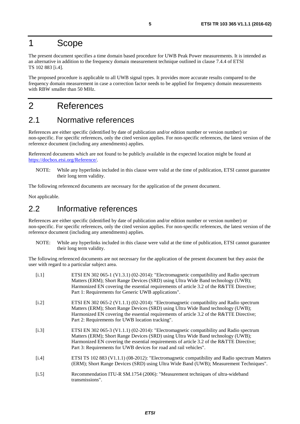### <span id="page-4-0"></span>1 Scope

The present document specifies a time domain based procedure for UWB Peak Power measurements. It is intended as an alternative in addition to the frequency domain measurement technique outlined in clause 7.4.4 of ETSI TS 102 883 [i.4].

The proposed procedure is applicable to all UWB signal types. It provides more accurate results compared to the frequency domain measurement in case a correction factor needs to be applied for frequency domain measurements with RBW smaller than 50 MHz.

### 2 References

#### 2.1 Normative references

References are either specific (identified by date of publication and/or edition number or version number) or non-specific. For specific references, only the cited version applies. For non-specific references, the latest version of the reference document (including any amendments) applies.

Referenced documents which are not found to be publicly available in the expected location might be found at <https://docbox.etsi.org/Reference/>.

NOTE: While any hyperlinks included in this clause were valid at the time of publication, ETSI cannot guarantee their long term validity.

The following referenced documents are necessary for the application of the present document.

Not applicable.

#### 2.2 Informative references

References are either specific (identified by date of publication and/or edition number or version number) or non-specific. For specific references, only the cited version applies. For non-specific references, the latest version of the reference document (including any amendments) applies.

NOTE: While any hyperlinks included in this clause were valid at the time of publication, ETSI cannot guarantee their long term validity.

The following referenced documents are not necessary for the application of the present document but they assist the user with regard to a particular subject area.

| [i.1]   | ETSI EN 302 065-1 (V1.3.1) (02-2014): "Electromagnetic compatibility and Radio spectrum<br>Matters (ERM); Short Range Devices (SRD) using Ultra Wide Band technology (UWB);<br>Harmonized EN covering the essential requirements of article 3.2 of the R&TTE Directive;<br>Part 1: Requirements for Generic UWB applications".               |
|---------|----------------------------------------------------------------------------------------------------------------------------------------------------------------------------------------------------------------------------------------------------------------------------------------------------------------------------------------------|
| [i.2]   | ETSI EN 302 065-2 (V1.1.1) (02-2014): "Electromagnetic compatibility and Radio spectrum<br>Matters (ERM); Short Range Devices (SRD) using Ultra Wide Band technology (UWB);<br>Harmonized EN covering the essential requirements of article 3.2 of the R&TTE Directive;<br>Part 2: Requirements for UWB location tracking".                  |
| [i.3]   | ETSI EN 302 065-3 (V1.1.1) (02-2014): "Electromagnetic compatibility and Radio spectrum<br>Matters (ERM); Short Range Devices (SRD) using Ultra Wide Band technology (UWB);<br>Harmonized EN covering the essential requirements of article 3.2 of the R&TTE Directive;<br>Part 3: Requirements for UWB devices for road and rail vehicles". |
| [i.4]   | ETSI TS 102 883 (V1.1.1) (08-2012): "Electromagnetic compatibility and Radio spectrum Matters<br>(ERM); Short Range Devices (SRD) using Ultra Wide Band (UWB); Measurement Techniques".                                                                                                                                                      |
| $[1.5]$ | Recommendation ITU-R SM.1754 (2006): "Measurement techniques of ultra-wideband<br>transmissions".                                                                                                                                                                                                                                            |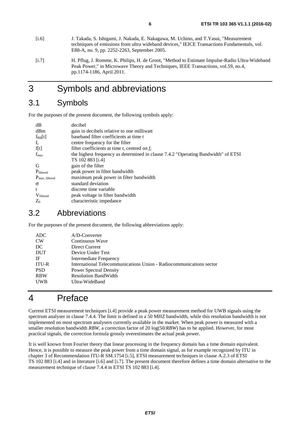- <span id="page-5-0"></span>[i.6] J. Takada, S. Ishigami, J. Nakada, E. Nakagawa, M. Uchino, and T.Yasui, "Measurement techniques of emissions from ultra wideband devices," IEICE Transactions Fundamentals, vol. E88-A, no. 9, pp. 2252-2263, September 2005.
- [i.7] H. Pflug, J. Romme, K. Philips, H. de Groot, "Method to Estimate Impulse-Radio Ultra-Wideband Peak Power," in Microwave Theory and Techniques, IEEE Transactions, vol.59, no.4, pp.1174-1186, April 2011.

### 3 Symbols and abbreviations

### 3.1 Symbols

For the purposes of the present document, the following symbols apply:

| dB                         | decibel                                                                           |
|----------------------------|-----------------------------------------------------------------------------------|
| dBm                        | gain in decibels relative to one milliwatt                                        |
| $f_{BB}[t]$                | baseband filter coefficients at time t                                            |
| $f_c$                      | centre frequency for the filter                                                   |
| f[t]                       | filter coefficients at time t, centred on $f_c$                                   |
| $f_{\rm max}$              | the highest frequency as determined in clause 7.4.2 "Operating Bandwidth" of ETSI |
|                            | TS 102 883 [i.4]                                                                  |
| G                          | gain of the filter                                                                |
| Pfiltered                  | peak power in filter bandwidth                                                    |
| $P_{\text{max, filtered}}$ | maximum peak power in filter bandwidth                                            |
| $\sigma$                   | standard deviation                                                                |
| $\mathbf{t}$               | discrete time variable                                                            |
| $V_{\text{filtered}}$      | peak voltage in filter bandwidth                                                  |
| $Z_0$                      | characteristic impedance                                                          |

#### 3.2 Abbreviations

For the purposes of the present document, the following abbreviations apply:

| A/D-Converter                                                       |
|---------------------------------------------------------------------|
| Continuous Wave                                                     |
| Direct Current                                                      |
| Device Under Test                                                   |
| Intermediate Frequency                                              |
| International Telecommunications Union - Radiocommunications sector |
| <b>Power Spectral Density</b>                                       |
| <b>Resolution BandWidth</b>                                         |
| Ultra-WideBand                                                      |
|                                                                     |

### 4 Preface

Current ETSI measurement techniques [\[i.4\]](#page-4-0) provide a peak power measurement method for UWB signals using the spectrum analyser in clause 7.4.4. The limit is defined in a 50 MHZ bandwidth, while this resolution bandwidth is not implemented on most spectrum analysers currently available in the market. When peak power is measured with a smaller resolution bandwidth *RBW*, a correction factor of 20 log(50/*RBW*) has to be applied. However, for most practical signals, the correction formula grossly overestimates the actual peak power.

It is well known from Fourier theory that linear processing in the frequency domain has a time domain equivalent. Hence, it is possible to measure the peak power from a time domain signal, as for example recognized by ITU in chapter 3 of Recommendation ITU-R SM.1754 [\[i.5](#page-4-0)], ETSI measurement techniques in clause A.2.3 of ETSI TS 102 883 [\[i.4](#page-4-0)] and in literature [i.6] and [i.7]. The present document therefore defines a time domain alternative to the measurement technique of clause 7.4.4 in ETSI TS 102 883 [[i.4](#page-4-0)].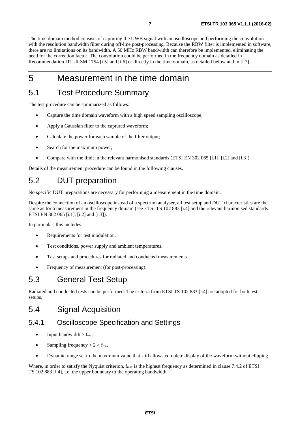<span id="page-6-0"></span>The time domain method consists of capturing the UWB signal with an oscilloscope and performing the convolution with the resolution bandwidth filter during off-line post-processing. Because the RBW filter is implemented in software, there are no limitations on its bandwidth. A 50 MHz RBW bandwidth can therefore be implemented, eliminating the need for the correction factor. The convolution could be performed in the frequency domain as detailed in Recommendation ITU-R SM.1754 [\[i.5\]](#page-4-0) and [[i.6](#page-5-0)] or directly in the time domain, as detailed below and in [\[i.7\]](#page-5-0).

### 5 Measurement in the time domain

### 5.1 Test Procedure Summary

The test procedure can be summarized as follows:

- Capture the time domain waveform with a high speed sampling oscilloscope;
- Apply a Gaussian filter to the captured waveform;
- Calculate the power for each sample of the filter output;
- Search for the maximum power;
- Compare with the limit in the relevant harmonised standards (ETSI EN 302 065 [\[i.1](#page-4-0)], [\[i.2](#page-4-0)] and [\[i.3](#page-4-0)]).

Details of the measurement procedure can be found in the following clauses.

### 5.2 DUT preparation

No specific DUT preparations are necessary for performing a measurement in the time domain.

Despite the connection of an oscilloscope instead of a spectrum analyser, all test setup and DUT characteristics are the same as for a measurement in the frequency domain (see ETSI TS 102 883 [\[i.4](#page-4-0)] and the relevant harmonised standards ETSI EN 302 065 [\[i.1](#page-4-0)], [\[i.2](#page-4-0)] and [\[i.3\]](#page-4-0)).

In particular, this includes:

- Requirements for test modulation.
- Test conditions, power supply and ambient temperatures.
- Test setups and procedures for radiated and conducted measurements.
- Frequency of measurement (for post-processing).

### 5.3 General Test Setup

Radiated and conducted tests can be performed. The criteria from ETSI TS 102 883 [\[i.4](#page-4-0)] are adopted for both test setups.

### 5.4 Signal Acquisition

#### 5.4.1 Oscilloscope Specification and Settings

- Input bandwidth  $> f_{\text{max}}$ .
- Sampling frequency  $> 2 \times f_{\text{max}}$
- Dynamic range set to the maximum value that still allows complete display of the waveform without clipping.

Where, in order to satisfy the Nyquist criterion,  $f_{\text{max}}$  is the highest frequency as determined in clause 7.4.2 of ETSI TS 102 883 [\[i.4](#page-4-0)], i.e. the upper boundary to the operating bandwidth.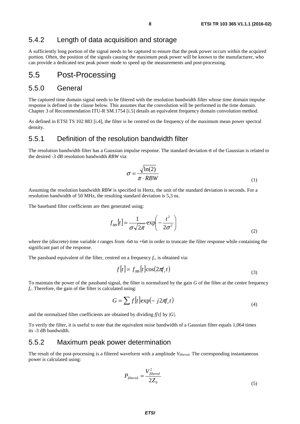#### <span id="page-7-0"></span>5.4.2 Length of data acquisition and storage

A sufficiently long portion of the signal needs to be captured to ensure that the peak power occurs within the acquired portion. Often, the position of the signals causing the maximum peak power will be known to the manufacturer, who can provide a dedicated test peak power mode to speed up the measurements and post-processing.

#### 5.5 Post-Processing

#### 5.5.0 General

The captured time domain signal needs to be filtered with the resolution bandwidth filter whose time domain impulse response is defined in the clause below. This assumes that the convolution will be performed in the time domain. Chapter 3 of Recommendation ITU-R SM.1754 [\[i.5](#page-4-0)] details an equivalent frequency domain convolution method.

As defined in ETSI TS 102 883 [\[i.4](#page-4-0)], the filter is be centred on the frequency of the maximum mean power spectral density.

#### 5.5.1 Definition of the resolution bandwidth filter

The resolution bandwidth filter has a Gaussian impulse response. The standard deviation  $\sigma$  of the Gaussian is related to the desired -3 dB resolution bandwidth *RBW* via:

$$
\sigma = \frac{\sqrt{\ln(2)}}{\pi \cdot RBW} \tag{1}
$$

Assuming the resolution bandwidth *RBW* is specified in Hertz, the unit of the standard deviation is seconds. For a resolution bandwidth of 50 MHz, the resulting standard deviation is 5,3 ns.

The baseband filter coefficients are then generated using:

$$
f_{BB}[t] = \frac{1}{\sigma\sqrt{2\pi}} \exp\left(-\frac{t^2}{2\sigma^2}\right)
$$
 (2)

where the (discrete) time variable *t* ranges from -6σ to +6σ in order to truncate the filter response while containing the significant part of the response.

The passband equivalent of the filter, centred on a frequency  $f_c$ , is obtained via:

$$
f[t] = f_{BB}[t]cos(2\pi f_c t)
$$
\n(3)

To maintain the power of the passband signal, the filter is normalized by the gain *G* of the filter at the centre frequency *fc*. Therefore, the gain of the filter is calculated using:

$$
G = \sum f[t] \exp(-j2\pi f_c t)
$$
\n(4)

and the normalized filter coefficients are obtained by dividing *f[t]* by |*G|*.

To verify the filter, it is useful to note that the equivalent noise bandwidth of a Gaussian filter equals 1,064 times its -3 dB bandwidth.

#### 5.5.2 Maximum peak power determination

The result of the post-processing is a filtered waveform with a amplitude *Vfiltered*. The corresponding instantaneous power is calculated using:

$$
P_{\text{filtered}} = \frac{V_{\text{filtered}}^2}{2Z_0} \tag{5}
$$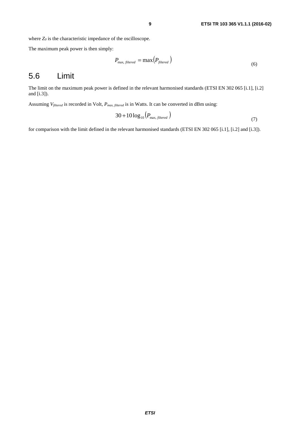<span id="page-8-0"></span>where  $Z_0$  is the characteristic impedance of the oscilloscope.

The maximum peak power is then simply:

$$
P_{\text{max, filtered}} = \max\left(P_{\text{filtered}}\right) \tag{6}
$$

#### 5.6 Limit

The limit on the maximum peak power is defined in the relevant harmonised standards (ETSI EN 302 065 [\[i.1](#page-4-0)], [\[i.2](#page-4-0)] and [[i.3](#page-4-0)]).

Assuming *Vfiltered* is recorded in Volt, *Pmax, filtered* is in Watts. It can be converted in dBm using:

$$
30 + 10\log_{10}\left(P_{\text{max, filtered}}\right) \tag{7}
$$

for comparison with the limit defined in the relevant harmonised standards (ETSI EN 302 065 [\[i.1](#page-4-0)], [\[i.2](#page-4-0)] and [\[i.3](#page-4-0)]).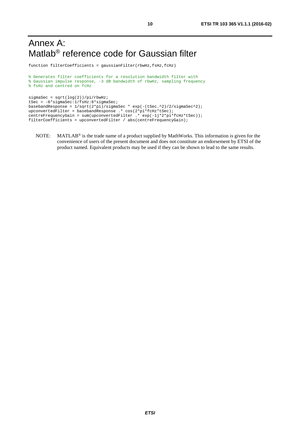## <span id="page-9-0"></span>Annex A: Matlab® reference code for Gaussian filter

function filterCoefficients = gaussianFilter(rbwHz,fsHz,fcHz)

```
% Generates filter coefficients for a resolution bandwidth filter with
% Gaussian impulse response, -3 dB bandwidth of rbwHz, sampling frequency
% fsHz and centred on fcHz
sigmasigmaSec = sqrt(log(2))/pi/rbwHz;
```

```
tSec = -6*sigmaSec:1/fsHz:6*sigmaSec;
basebandResponse = 1/sqrt(2*pi)/sigmaSec * exp(-(tSec.^2)/2/sigmaSec^2);
upconvertedFilter = basebandResponse .* cos(2*pi*fcHz*tSec);
centreFrequencyGain = sum(upconvertedFilter .* exp(-1j*2*pi*fcHz*tSec));
filterCoefficients = upconvertedFilter / abs(centreFrequencyGain);
```
NOTE: MATLAB<sup>®</sup> is the trade name of a product supplied by MathWorks. This information is given for the convenience of users of the present document and does not constitute an endorsement by ETSI of the product named. Equivalent products may be used if they can be shown to lead to the same results.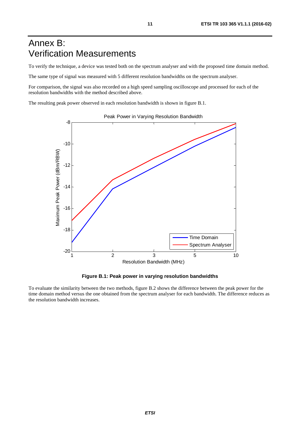# <span id="page-10-0"></span>Annex B: Verification Measurements

To verify the technique, a device was tested both on the spectrum analyser and with the proposed time domain method.

The same type of signal was measured with 5 different resolution bandwidths on the spectrum analyser.

For comparison, the signal was also recorded on a high speed sampling oscilloscope and processed for each of the resolution bandwidths with the method described above.

The resulting peak power observed in each resolution bandwidth is shown in figure B.1.



Peak Power in Varying Resolution Bandwidth

**Figure B.1: Peak power in varying resolution bandwidths** 

To evaluate the similarity between the two methods, figure B.2 shows the difference between the peak power for the time domain method versus the one obtained from the spectrum analyser for each bandwidth. The difference reduces as the resolution bandwidth increases.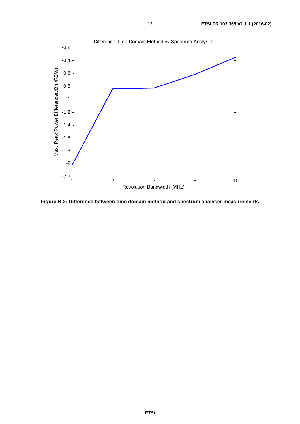

**Figure B.2: Difference between time domain method and spectrum analyser measurements**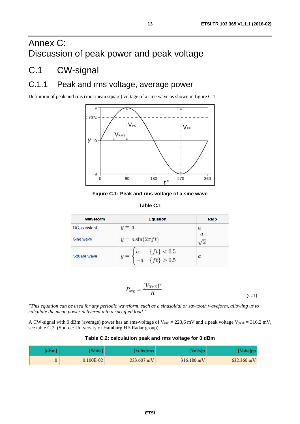# <span id="page-12-0"></span>Annex C: Discussion of peak power and peak voltage

### C.1 CW-signal

### C.1.1 Peak and rms voltage, average power

Definition of peak and rms (root mean square) voltage of a sine wave as shown in figure C.1.



**Figure C.1: Peak and rms voltage of a sine wave** 

| able : | U |
|--------|---|
|--------|---|

| <b>Waveform</b> | <b>Equation</b>                                                       | <b>RMS</b>       |
|-----------------|-----------------------------------------------------------------------|------------------|
| DC, constant    | $y = a$                                                               | $\boldsymbol{a}$ |
| Sine wave       | $y = a \sin(2\pi f t)$                                                | $\mathfrak a$    |
| Square wave     | $y = \begin{cases} a & \{ft\} < 0.5 \\ -a & \{ft\} > 0.5 \end{cases}$ | $\mathfrak{a}$   |

$$
P_{\text{avg}} = \frac{(V_{\text{RMS}})^2}{R}
$$
\n(C.1)

*"This equation can be used for any periodic waveform, such as a sinusoidal or sawtooth waveform, allowing us to calculate the mean power delivered into a specified load."* 

A CW-signal with 0 dBm (average) power has an rms-voltage of  $V_{rms} = 223.6$  mV and a peak voltage  $V_{peak} = 316.2$  mV, see table C.2. (Source: University of Hamburg HF-Radar group).

#### **Table C.2: calculation peak and rms voltage for 0 dBm**

| dBm | Watts]    | [Volts]rms   | Volts]p              | Volts]pi             |
|-----|-----------|--------------|----------------------|----------------------|
|     | 0.100E-02 | $223.607$ mV | $316.180 \text{ mV}$ | $632.360 \text{ mV}$ |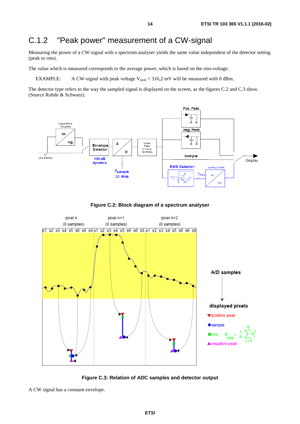# <span id="page-13-0"></span>C.1.2 "Peak power" measurement of a CW-signal

Measuring the power of a CW-signal with a spectrum analyser yields the same value independent of the detector setting (peak or rms).

The value which is measured corresponds to the average power, which is based on the rms-voltage.

EXAMPLE: A CW-signal with peak voltage  $V_{peak} = 316,2$  mV will be measured with 0 dBm.

The detector type refers to the way the sampled signal is displayed on the screen, as the figures C.2 and C.3 show. (Source Rohde & Schwarz).







**Figure C.3: Relation of ADC samples and detector output** 

A CW signal has a constant envelope.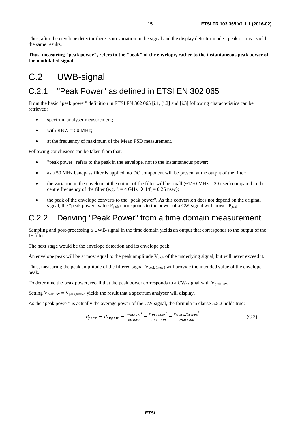<span id="page-14-0"></span>Thus, after the envelope detector there is no variation in the signal and the display detector mode - peak or rms - yield the same results.

**Thus, measuring "peak power", refers to the "peak" of the envelope, rather to the instantaneous peak power of the modulated signal.** 

# C.2 UWB-signal

### C.2.1 "Peak Power" as defined in ETSI EN 302 065

From the basic "peak power" definition in ETSI EN 302 065 [[i.1](#page-4-0), [\[i.2\]](#page-4-0) and [[i.3](#page-4-0)] following characteristics can be retrieved:

- spectrum analyser measurement;
- with  $RBW = 50$  MHz;
- at the frequency of maximum of the Mean PSD measurement.

Following conclusions can be taken from that:

- "peak power" refers to the peak in the envelope, not to the instantaneous power;
- as a 50 MHz bandpass filter is applied, no DC component will be present at the output of the filter;
- the variation in the envelope at the output of the filter will be small  $(\sim 1/50 \text{ MHz} = 20 \text{ nsec})$  compared to the centre frequency of the filter (e.g.  $f_c = 4 \text{ GHz} \rightarrow 1/f_c = 0.25 \text{ nsec}$ );
- the peak of the envelope converts to the "peak power". As this conversion does not depend on the original signal, the "peak power" value  $P_{peak}$  corresponds to the power of a CW-signal with power  $P_{peak}$ .

### C.2.2 Deriving "Peak Power" from a time domain measurement

Sampling and post-processing a UWB-signal in the time domain yields an output that corresponds to the output of the IF filter.

The next stage would be the envelope detection and its envelope peak.

An envelope peak will be at most equal to the peak amplitude  $V_{peak}$  of the underlying signal, but will never exceed it.

Thus, measuring the peak amplitude of the filtered signal V<sub>peak,filtered</sub> will provide the intended value of the envelope peak.

To determine the peak power, recall that the peak power corresponds to a CW-signal with V<sub>peak,CW</sub>.

Setting  $V_{peak,CW} = V_{peak,filtered}$  yields the result that a spectrum analyser will display.

As the "peak power" is actually the average power of the CW signal, the formula in clause 5.5.2 holds true:

$$
P_{peak} = P_{avg,CW} = \frac{V_{rms,CW}^2}{50 \text{ ohm}} = \frac{V_{peak,CW}^2}{2 \cdot 50 \text{ ohm}} = \frac{V_{peak,filtered}^2}{2 \cdot 50 \text{ ohm}} \tag{C.2}
$$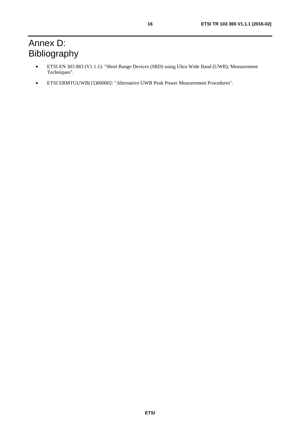# <span id="page-15-0"></span>Annex D: Bibliography

- ETSI EN 303 883 (V1.1.1): "Short Range Devices (SRD) using Ultra Wide Band (UWB); Measurement Techniques".
- ETSI ERMTGUWB(15)000002: "Alternative UWB Peak Power Measurement Procedures".